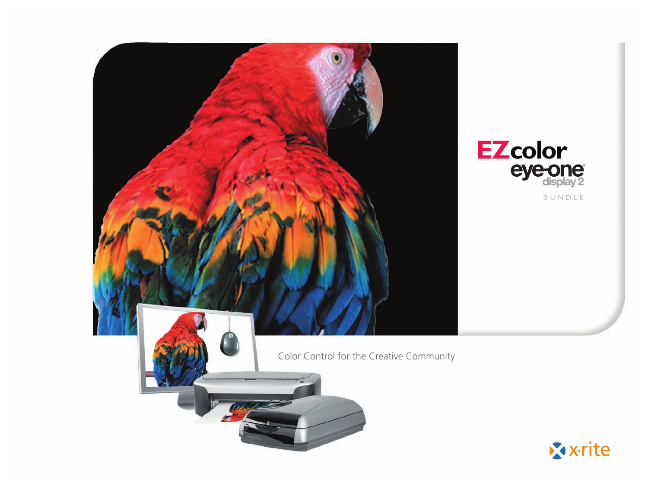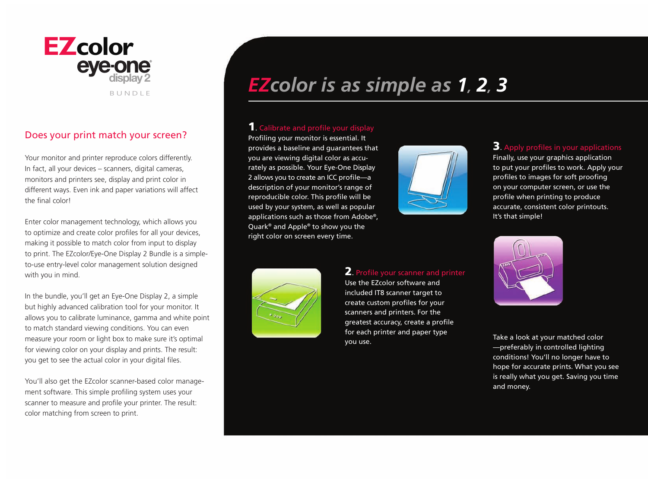

# Does your print match your screen?

Your monitor and printer reproduce colors differently. In fact, all your devices – scanners, digital cameras, monitors and printers see, display and print color in different ways. Even ink and paper variations will affect the final color!

Enter color management technology, which allows you to optimize and create color profiles for all your devices, making it possible to match color from input to display to print. The EZcolor/Eye-One Display 2 Bundle is a simpleto-use entry-level color management solution designed with you in mind.

In the bundle, you'll get an Eye-One Display 2, a simple but highly advanced calibration tool for your monitor. It allows you to calibrate luminance, gamma and white point to match standard viewing conditions. You can even measure your room or light box to make sure it's optimal for viewing color on your display and prints. The result: you get to see the actual color in your digital files.

You'll also get the EZcolor scanner-based color management software. This simple profiling system uses your scanner to measure and profile your printer. The result: color matching from screen to print.

# **EZcolor is as simple as 1, 2, 3**

# 1. Calibrate and profile your display

Profiling your monitor is essential. It provides a baseline and guarantees that you are viewing digital color as accurately as possible. Your Eye-One Display 2 allows you to create an ICC profile—a description of your monitor's range of reproducible color. This profile will be used by your system, as well as popular applications such as those from Adobe®, Quark® and Apple® to show you the right color on screen every time.



3. Apply profiles in your applications Finally, use your graphics application to put your profiles to work. Apply your profiles to images for soft proofing on your computer screen, or use the profile when printing to produce accurate, consistent color printouts. It's that simple!



### 2. Profile your scanner and printer

Use the EZcolor software and included IT8 scanner target to create custom profiles for your scanners and printers. For the greatest accuracy, create a profile for each printer and paper type you use.



Take a look at your matched color —preferably in controlled lighting conditions! You'll no longer have to hope for accurate prints. What you see is really what you get. Saving you time and money.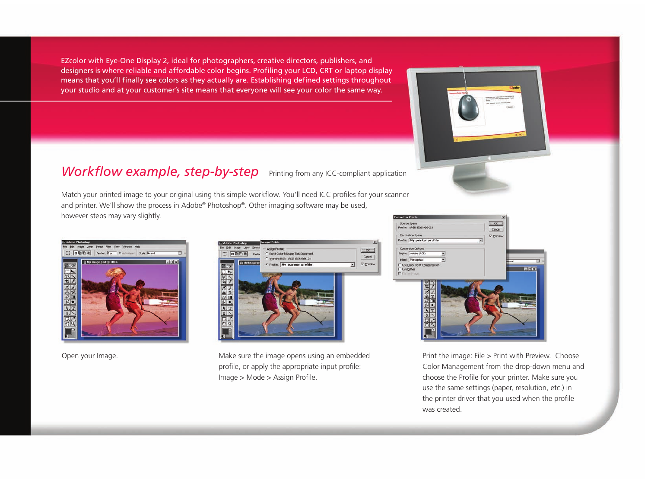EZcolor with Eye-One Display 2, ideal for photographers, creative directors, publishers, and designers is where reliable and affordable color begins. Profiling your LCD, CRT or laptop display means that you'll finally see colors as they actually are. Establishing defined settings throughout your studio and at your customer's site means that everyone will see your color the same way.

# *Workflow example, step-by-step* Printing from any ICC-compliant application

Match your printed image to your original using this simple workflow. You'll need ICC profiles for your scanner and printer. We'll show the process in Adobe® Photoshop®. Other imaging software may be used, however steps may vary slightly.





Open your Image. Make sure the image opens using an embedded profile, or apply the appropriate input profile: Image > Mode > Assign Profile.



Print the image: File > Print with Preview. Choose Color Management from the drop-down menu and choose the Profile for your printer. Make sure you use the same settings (paper, resolution, etc.) in the printer driver that you used when the profile was created.